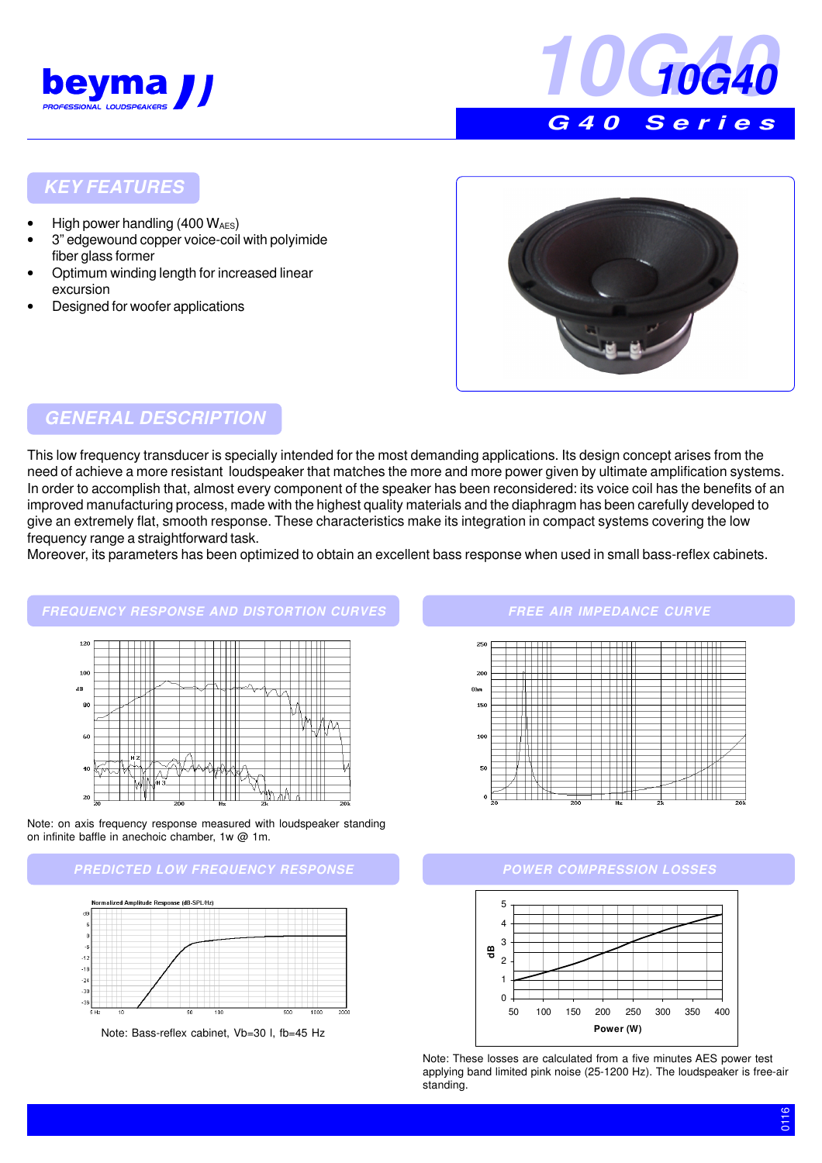



#### **KEY FEATURES**

- High power handling (400 WAES)
- 3" edgewound copper voice-coil with polyimide fiber glass former
- Optimum winding length for increased linear excursion
- Designed for woofer applications



## **GENERAL DESCRIPTION**

This low frequency transducer is specially intended for the most demanding applications. Its design concept arises from the need of achieve a more resistant loudspeaker that matches the more and more power given by ultimate amplification systems. In order to accomplish that, almost every component of the speaker has been reconsidered: its voice coil has the benefits of an improved manufacturing process, made with the highest quality materials and the diaphragm has been carefully developed to give an extremely flat, smooth response. These characteristics make its integration in compact systems covering the low frequency range a straightforward task.

Moreover, its parameters has been optimized to obtain an excellent bass response when used in small bass-reflex cabinets.



Note: on axis frequency response measured with loudspeaker standing on infinite baffle in anechoic chamber, 1w @ 1m.





Note: Bass-reflex cabinet, Vb=30 l, fb=45 Hz

#### **FREE AIR IMPEDANCE CURVE**





Note: These losses are calculated from a five minutes AES power test applying band limited pink noise (25-1200 Hz). The loudspeaker is free-air standing.